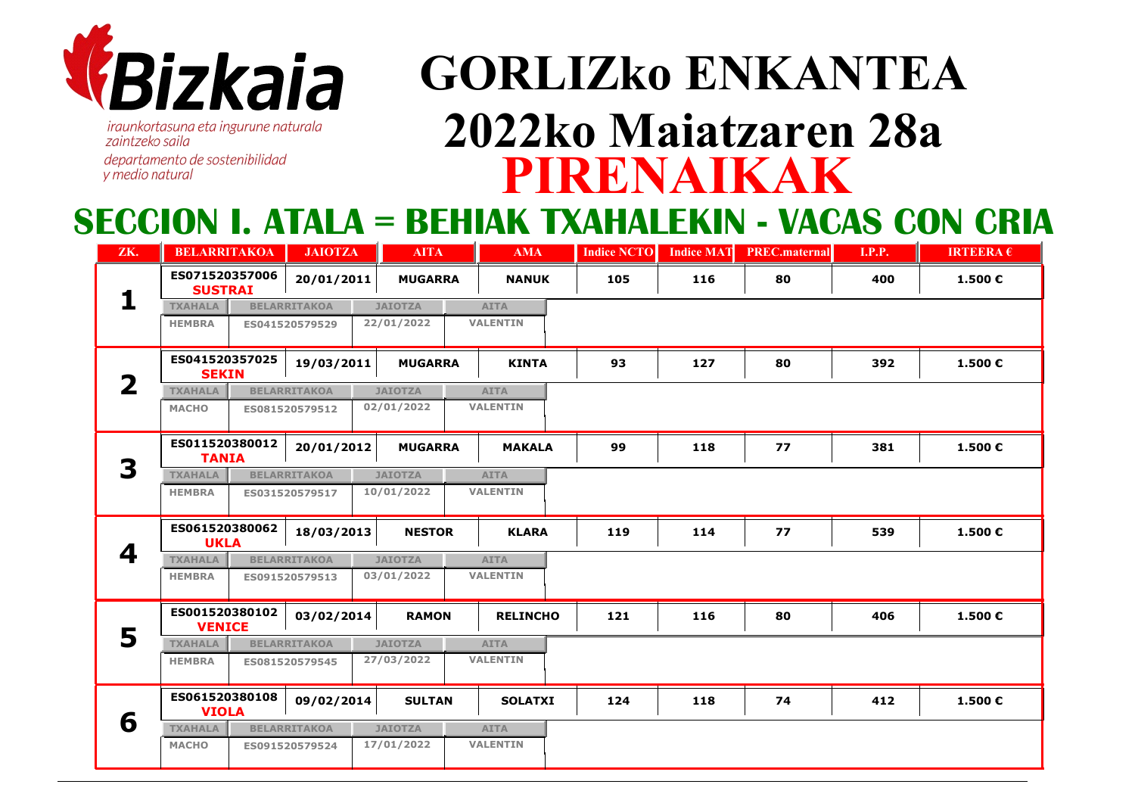

*iraunkortasuna eta ingurune naturala* zaintzeko saila departamento de sostenibilidad y medio natural

# **PIRENAIKAKGORLIZko ENKANTEA2022ko Maiatzaren 28a**

#### **SECCION I. ATALA = BEHIAK TXAHALEKIN - VACAS CON CRIA**

| ZK. | <b>BELARRITAKOA</b>                           | <b>JAIOTZA</b>      | <b>AITA</b>     | <b>AMA</b>      | <b>Indice NCTO</b> | <b>Indice MAT</b> | <b>PREC.maternal</b> | <b>I.P.P.</b> | <b>IRTEERA <math>\epsilon</math></b> |
|-----|-----------------------------------------------|---------------------|-----------------|-----------------|--------------------|-------------------|----------------------|---------------|--------------------------------------|
|     | ES071520357006<br><b>SUSTRAI</b>              | 20/01/2011          | <b>MUGARRA</b>  | <b>NANUK</b>    | 105                | 116               | 80                   | 400           | 1.500€                               |
|     | <b>TXAHALA</b>                                | <b>BELARRITAKOA</b> | <b>JAIOTZA</b>  | <b>AITA</b>     |                    |                   |                      |               |                                      |
|     | <b>HEMBRA</b>                                 | ES041520579529      | 22/01/2022      | <b>VALENTIN</b> |                    |                   |                      |               |                                      |
|     | ES041520357025<br><b>SEKIN</b>                | 19/03/2011          | <b>MUGARRA</b>  | <b>KINTA</b>    | 93                 | 127               | 80                   | 392           | 1.500€                               |
| 2   | <b>TXAHALA</b>                                | <b>BELARRITAKOA</b> | <b>JAIOTZA</b>  | <b>AITA</b>     |                    |                   |                      |               |                                      |
|     | <b>MACHO</b>                                  | ES081520579512      | 02/01/2022      | <b>VALENTIN</b> |                    |                   |                      |               |                                      |
|     | ES011520380012<br><b>TANIA</b>                | 20/01/2012          | <b>MUGARRA</b>  | <b>MAKALA</b>   | 99                 | 118               | 77                   | 381           | 1.500€                               |
| 3   | <b>TXAHALA</b>                                | <b>BELARRITAKOA</b> | <b>JAIOTZA</b>  | <b>AITA</b>     |                    |                   |                      |               |                                      |
|     | <b>HEMBRA</b>                                 | ES031520579517      | 10/01/2022      | <b>VALENTIN</b> |                    |                   |                      |               |                                      |
|     | ES061520380062<br><b>UKLA</b>                 | 18/03/2013          | <b>NESTOR</b>   | <b>KLARA</b>    | 119                | 114               | 77                   | 539           | 1.500€                               |
| 4   | <b>TXAHALA</b><br><b>BELARRITAKOA</b>         | <b>AITA</b>         |                 |                 |                    |                   |                      |               |                                      |
|     | <b>HEMBRA</b>                                 | ES091520579513      | 03/01/2022      | <b>VALENTIN</b> |                    |                   |                      |               |                                      |
| 5   | ES001520380102<br>03/02/2014<br><b>VENICE</b> |                     | <b>RAMON</b>    | <b>RELINCHO</b> | 121                | 116               | 80                   | 406           | 1.500€                               |
|     | <b>TXAHALA</b>                                | <b>BELARRITAKOA</b> | <b>JAIOTZA</b>  | <b>AITA</b>     |                    |                   |                      |               |                                      |
|     | <b>HEMBRA</b><br>ES081520579545               | 27/03/2022          | <b>VALENTIN</b> |                 |                    |                   |                      |               |                                      |
|     | ES061520380108<br><b>VIOLA</b>                | 09/02/2014          | <b>SULTAN</b>   | <b>SOLATXI</b>  | 124                | 118               | 74                   | 412           | 1.500€                               |
| 6   | <b>TXAHALA</b>                                | <b>BELARRITAKOA</b> | <b>JAIOTZA</b>  | <b>AITA</b>     |                    |                   |                      |               |                                      |
|     | <b>MACHO</b>                                  | ES091520579524      | 17/01/2022      | <b>VALENTIN</b> |                    |                   |                      |               |                                      |
|     |                                               |                     |                 |                 |                    |                   |                      |               |                                      |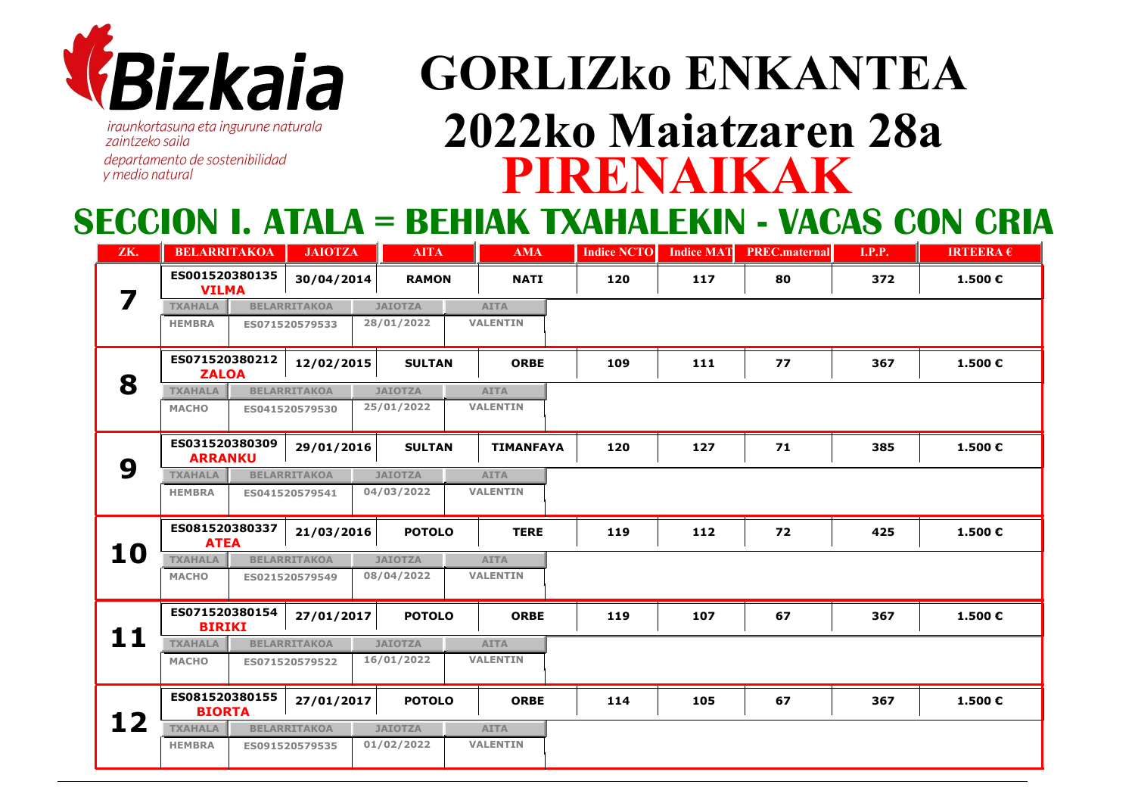

*iraunkortasuna eta ingurune naturala* zaintzeko saila departamento de sostenibilidad y medio natural

## **PIRENAIKAKGORLIZko ENKANTEA2022ko Maiatzaren 28a**

### **SECCION I. ATALA = BEHIAK TXAHALEKIN - VACAS CON CRIA**

| ZK. | <b>BELARRITAKOA</b>                          |                                               | <b>JAIOTZA</b>             | <b>AITA</b>    | <b>AMA</b>                   | <b>Indice NCTO</b> | <b>Indice MAT</b> | <b>PREC.maternal</b> | <b>I.P.P.</b> | <b>IRTEERA</b> $\epsilon$ |
|-----|----------------------------------------------|-----------------------------------------------|----------------------------|----------------|------------------------------|--------------------|-------------------|----------------------|---------------|---------------------------|
| 7   | ES001520380135<br><b>VILMA</b>               |                                               | 30/04/2014<br><b>RAMON</b> |                | <b>NATI</b>                  | 120                | 117               | 80                   | 372           | 1.500€                    |
|     | <b>TXAHALA</b>                               |                                               | <b>BELARRITAKOA</b>        | <b>JAIOTZA</b> | <b>AITA</b>                  |                    |                   |                      |               |                           |
|     | <b>HEMBRA</b>                                | ES071520579533                                |                            | 28/01/2022     | <b>VALENTIN</b>              |                    |                   |                      |               |                           |
|     | ES071520380212<br>12/02/2015<br><b>ZALOA</b> |                                               |                            | <b>SULTAN</b>  | <b>ORBE</b>                  | 109                | 111               | 77                   | 367           | 1.500€                    |
| 8   | <b>TXAHALA</b><br><b>BELARRITAKOA</b>        |                                               |                            | <b>JAIOTZA</b> | <b>AITA</b>                  |                    |                   |                      |               |                           |
|     | <b>MACHO</b>                                 | ES041520579530                                |                            | 25/01/2022     | <b>VALENTIN</b>              |                    |                   |                      |               |                           |
|     | ES031520380309<br><b>ARRANKU</b>             |                                               | 29/01/2016                 | <b>SULTAN</b>  | <b>TIMANFAYA</b>             | 120                | 127               | 71                   | 385           | 1.500€                    |
| 9   | <b>TXAHALA</b>                               |                                               | <b>BELARRITAKOA</b>        | <b>JAIOTZA</b> | <b>AITA</b>                  |                    |                   |                      |               |                           |
|     | <b>HEMBRA</b>                                | ES041520579541                                |                            | 04/03/2022     | <b>VALENTIN</b>              |                    |                   |                      |               |                           |
|     |                                              | ES081520380337<br>21/03/2016<br><b>ATEA</b>   |                            |                | <b>POTOLO</b><br><b>TERE</b> |                    | 112               | 72                   | 425           | 1.500€                    |
| 10  | <b>TXAHALA</b>                               |                                               | <b>BELARRITAKOA</b>        | <b>JAIOTZA</b> | <b>AITA</b>                  |                    |                   |                      |               |                           |
|     | <b>MACHO</b>                                 | ES021520579549                                |                            | 08/04/2022     | <b>VALENTIN</b>              |                    |                   |                      |               |                           |
| 11  |                                              | ES071520380154<br>27/01/2017<br><b>BIRIKI</b> |                            | <b>POTOLO</b>  | <b>ORBE</b>                  | 119                | 107               | 67                   | 367           | 1.500€                    |
|     | <b>TXAHALA</b>                               | <b>BELARRITAKOA</b>                           |                            | <b>JAIOTZA</b> | <b>AITA</b>                  |                    |                   |                      |               |                           |
|     | <b>MACHO</b>                                 | ES071520579522                                |                            | 16/01/2022     | <b>VALENTIN</b>              |                    |                   |                      |               |                           |
|     |                                              | ES081520380155<br>27/01/2017<br><b>BIORTA</b> |                            | <b>POTOLO</b>  | <b>ORBE</b>                  | 114                | 105               | 67                   | 367           | 1.500€                    |
| 12  | <b>TXAHALA</b>                               | <b>BELARRITAKOA</b>                           |                            | <b>JAIOTZA</b> | <b>AITA</b>                  |                    |                   |                      |               |                           |
|     | <b>HEMBRA</b>                                |                                               | ES091520579535             | 01/02/2022     | <b>VALENTIN</b>              |                    |                   |                      |               |                           |
|     |                                              |                                               |                            |                |                              |                    |                   |                      |               |                           |